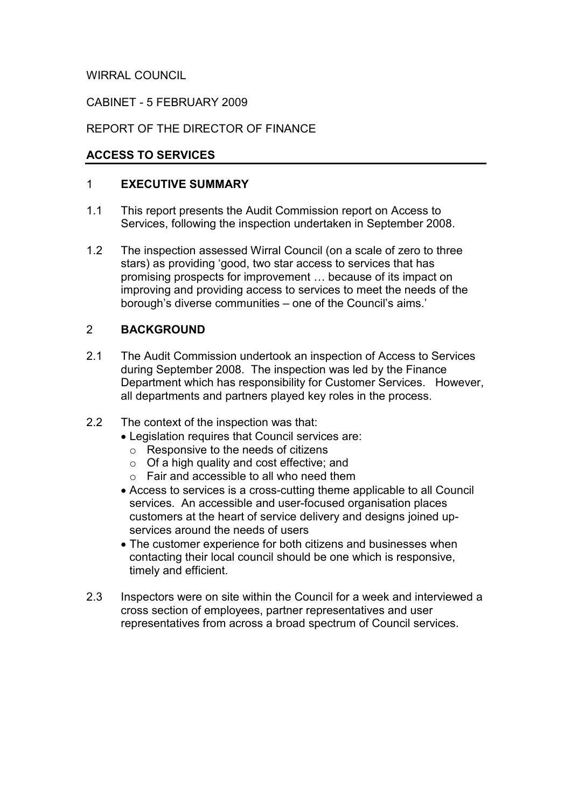WIRRAL COUNCIL

### CABINET - 5 FEBRUARY 2009

# REPORT OF THE DIRECTOR OF FINANCE

### ACCESS TO SERVICES

### 1 EXECUTIVE SUMMARY

- 1.1 This report presents the Audit Commission report on Access to Services, following the inspection undertaken in September 2008.
- 1.2 The inspection assessed Wirral Council (on a scale of zero to three stars) as providing 'good, two star access to services that has promising prospects for improvement … because of its impact on improving and providing access to services to meet the needs of the borough's diverse communities – one of the Council's aims.'

# 2 BACKGROUND

- 2.1 The Audit Commission undertook an inspection of Access to Services during September 2008. The inspection was led by the Finance Department which has responsibility for Customer Services. However, all departments and partners played key roles in the process.
- 2.2 The context of the inspection was that:
	- Legislation requires that Council services are:
		- o Responsive to the needs of citizens
		- o Of a high quality and cost effective; and
		- $\circ$  Fair and accessible to all who need them
	- Access to services is a cross-cutting theme applicable to all Council services. An accessible and user-focused organisation places customers at the heart of service delivery and designs joined upservices around the needs of users
	- The customer experience for both citizens and businesses when contacting their local council should be one which is responsive, timely and efficient.
- 2.3 Inspectors were on site within the Council for a week and interviewed a cross section of employees, partner representatives and user representatives from across a broad spectrum of Council services.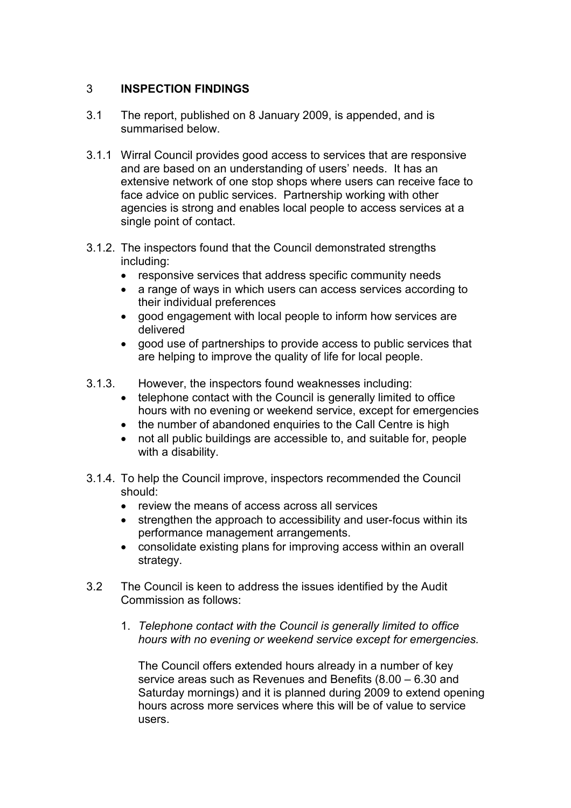## 3 INSPECTION FINDINGS

- 3.1 The report, published on 8 January 2009, is appended, and is summarised below.
- 3.1.1 Wirral Council provides good access to services that are responsive and are based on an understanding of users' needs. It has an extensive network of one stop shops where users can receive face to face advice on public services. Partnership working with other agencies is strong and enables local people to access services at a single point of contact.
- 3.1.2. The inspectors found that the Council demonstrated strengths including:
	- responsive services that address specific community needs
	- a range of ways in which users can access services according to their individual preferences
	- good engagement with local people to inform how services are delivered
	- good use of partnerships to provide access to public services that are helping to improve the quality of life for local people.
- 3.1.3. However, the inspectors found weaknesses including:
	- telephone contact with the Council is generally limited to office hours with no evening or weekend service, except for emergencies
	- the number of abandoned enquiries to the Call Centre is high
	- not all public buildings are accessible to, and suitable for, people with a disability.
- 3.1.4. To help the Council improve, inspectors recommended the Council should:
	- review the means of access across all services
	- strengthen the approach to accessibility and user-focus within its performance management arrangements.
	- consolidate existing plans for improving access within an overall strategy.
- 3.2 The Council is keen to address the issues identified by the Audit Commission as follows:
	- 1. Telephone contact with the Council is generally limited to office hours with no evening or weekend service except for emergencies.

 The Council offers extended hours already in a number of key service areas such as Revenues and Benefits (8.00 – 6.30 and Saturday mornings) and it is planned during 2009 to extend opening hours across more services where this will be of value to service users.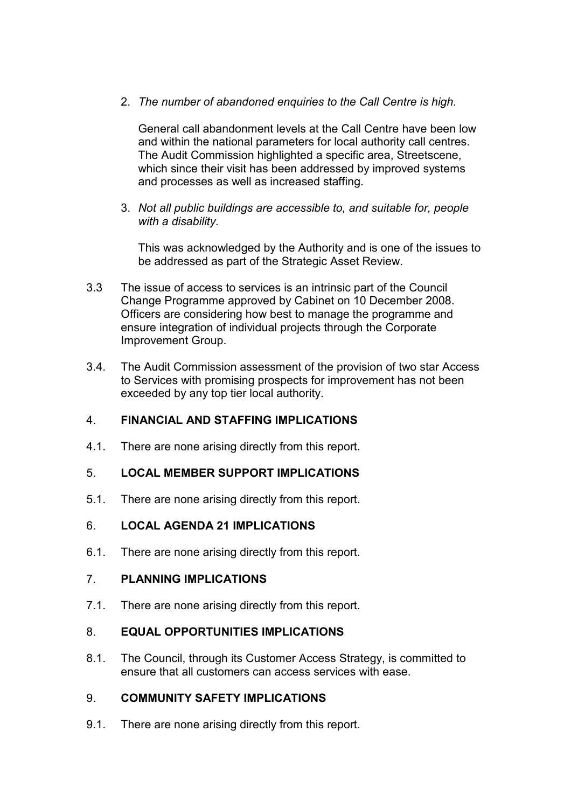2. The number of abandoned enquiries to the Call Centre is high.

 General call abandonment levels at the Call Centre have been low and within the national parameters for local authority call centres. The Audit Commission highlighted a specific area, Streetscene, which since their visit has been addressed by improved systems and processes as well as increased staffing.

 3. Not all public buildings are accessible to, and suitable for, people with a disability.

 This was acknowledged by the Authority and is one of the issues to be addressed as part of the Strategic Asset Review.

- 3.3 The issue of access to services is an intrinsic part of the Council Change Programme approved by Cabinet on 10 December 2008. Officers are considering how best to manage the programme and ensure integration of individual projects through the Corporate Improvement Group.
- 3.4. The Audit Commission assessment of the provision of two star Access to Services with promising prospects for improvement has not been exceeded by any top tier local authority.

# 4. FINANCIAL AND STAFFING IMPLICATIONS

4.1. There are none arising directly from this report.

# 5. LOCAL MEMBER SUPPORT IMPLICATIONS

5.1. There are none arising directly from this report.

#### 6. LOCAL AGENDA 21 IMPLICATIONS

6.1. There are none arising directly from this report.

#### 7. PLANNING IMPLICATIONS

7.1. There are none arising directly from this report.

#### 8. EQUAL OPPORTUNITIES IMPLICATIONS

8.1. The Council, through its Customer Access Strategy, is committed to ensure that all customers can access services with ease.

### 9. COMMUNITY SAFETY IMPLICATIONS

9.1. There are none arising directly from this report.